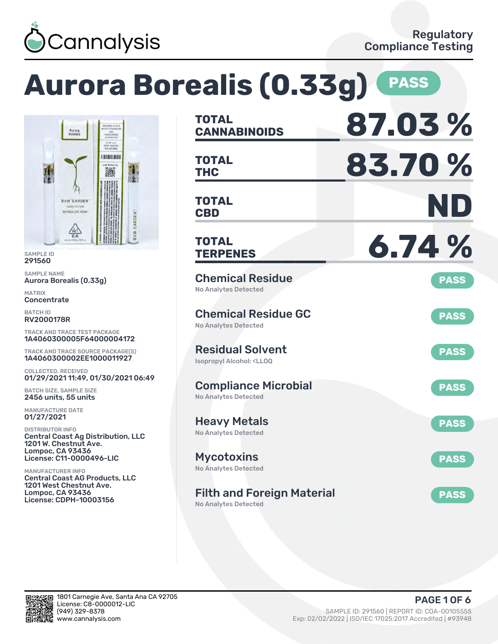

# **Aurora Borealis (0.33g) PASS**



SAMPLE ID 291560

SAMPLE NAME Aurora Borealis (0.33g)

MATRIX **Concentrate** 

BATCH ID RV2000178R

TRACK AND TRACE TEST PACKAGE 1A4060300005F64000004172

TRACK AND TRACE SOURCE PACKAGE(S) 1A4060300002EE1000011927

COLLECTED, RECEIVED 01/29/2021 11:49, 01/30/2021 06:49

BATCH SIZE, SAMPLE SIZE 2456 units, 55 units

MANUFACTURE DATE 01/27/2021

DISTRIBUTOR INFO Central Coast Ag Distribution, LLC 1201 W. Chestnut Ave. Lompoc, CA 93436 License: C11-0000496-LIC

MANUFACTURER INFO Central Coast AG Products, LLC 1201 West Chestnut Ave. Lompoc, CA 93436 License: CDPH-10003156

| <b>TOTAL</b><br><b>CANNABINOIDS</b>                                       | 87.03%      |
|---------------------------------------------------------------------------|-------------|
| <b>TOTAL</b><br><b>THC</b>                                                | 83.70%      |
| TOTAL<br><b>CBD</b>                                                       | ND          |
| <b>TOTAL</b><br><b>TERPENES</b>                                           | 6.74%       |
| <b>Chemical Residue</b><br><b>No Analytes Detected</b>                    | <b>PASS</b> |
| <b>Chemical Residue GC</b><br><b>No Analytes Detected</b>                 | <b>PASS</b> |
| <b>Residual Solvent</b><br><b>Isopropyl Alcohol: <lloq< b=""></lloq<></b> | <b>PASS</b> |
| <b>Compliance Microbial</b><br><b>No Analytes Detected</b>                | <b>PASS</b> |
| <b>Heavy Metals</b><br><b>No Analytes Detected</b>                        | <b>PASS</b> |
| <b>Mycotoxins</b><br>No Analytes Detected                                 | <b>PASS</b> |
| <b>Filth and Foreign Material</b><br>No Analytes Detected                 | <b>PASS</b> |

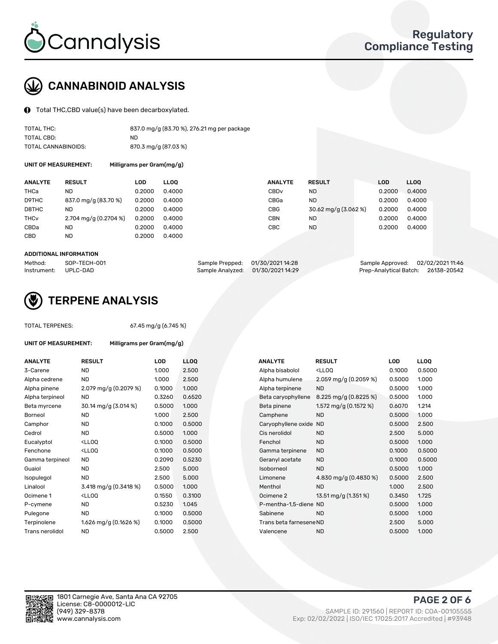

## CANNABINOID ANALYSIS

Total THC,CBD value(s) have been decarboxylated.

| TOTAL THC:          | 837.0 mg/g (83.70 %), 276.21 mg per package |
|---------------------|---------------------------------------------|
| TOTAL CBD:          | ND.                                         |
| TOTAL CANNABINOIDS: | 870.3 mg/g (87.03 %)                        |

UNIT OF MEASUREMENT: Milligrams per Gram(mg/g)

| <b>RESULT</b>                           | LOD    | <b>LLOO</b> | <b>ANALYTE</b>   |                      | <b>LOD</b>    | <b>LLOO</b> |
|-----------------------------------------|--------|-------------|------------------|----------------------|---------------|-------------|
| ND                                      | 0.2000 | 0.4000      | CBD <sub>v</sub> | <b>ND</b>            | 0.2000        | 0.4000      |
| 837.0 mg/g (83.70 %)                    | 0.2000 | 0.4000      | CBGa             | <b>ND</b>            | 0.2000        | 0.4000      |
| ND.                                     | 0.2000 | 0.4000      | <b>CBG</b>       | 30.62 mg/g (3.062 %) | 0.2000        | 0.4000      |
| $2.704 \text{ mg/g} (0.2704 \text{ %})$ | 0.2000 | 0.4000      | CBN              | <b>ND</b>            | 0.2000        | 0.4000      |
| ND                                      | 0.2000 | 0.4000      | CBC              | <b>ND</b>            | 0.2000        | 0.4000      |
| ND                                      | 0.2000 | 0.4000      |                  |                      |               |             |
|                                         |        |             |                  |                      | <b>RESULT</b> |             |

#### ADDITIONAL INFORMATION

| Method:              | SOP-TECH-001 | Sample Prepped: 01/30/2021 14:28  | Sample Approved: 02/02/2021 11:46  |  |
|----------------------|--------------|-----------------------------------|------------------------------------|--|
| Instrument: UPLC-DAD |              | Sample Analyzed: 01/30/2021 14:29 | Prep-Analytical Batch: 26138-20542 |  |



### TERPENE ANALYSIS

UNIT OF MEASUREMENT: Milligrams per Gram(mg/g)

| TUTAL TERPENES: |  |
|-----------------|--|
|                 |  |

TOTAL TERPENES: 67.45 mg/g (6.745 %)

| <b>ANALYTE</b>  | <b>RESULT</b>                                                                                                                  | <b>LOD</b> | <b>LLOQ</b> | <b>ANALYTE</b>          | <b>RESULT</b>                                       | <b>LOD</b> | <b>LLOQ</b> |
|-----------------|--------------------------------------------------------------------------------------------------------------------------------|------------|-------------|-------------------------|-----------------------------------------------------|------------|-------------|
| 3-Carene        | <b>ND</b>                                                                                                                      | 1.000      | 2.500       | Alpha bisabolol         | <ll0q< td=""><td>0.1000</td><td>0.5000</td></ll0q<> | 0.1000     | 0.5000      |
| Alpha cedrene   | ND.                                                                                                                            | 1.000      | 2.500       | Alpha humulene          | 2.059 mg/g $(0.2059\%)$                             | 0.5000     | 1.000       |
| Alpha pinene    | 2.079 mg/g (0.2079 %)                                                                                                          | 0.1000     | 1.000       | Alpha terpinene         | <b>ND</b>                                           | 0.5000     | 1.000       |
| Alpha terpineol | ND.                                                                                                                            | 0.3260     | 0.6520      | Beta caryophyllene      | 8.225 mg/g $(0.8225%)$                              | 0.5000     | 1.000       |
| Beta myrcene    | 30.14 mg/g (3.014 %)                                                                                                           | 0.5000     | 1.000       | Beta pinene             | 1.572 mg/g $(0.1572%)$                              | 0.6070     | 1.214       |
| <b>Borneol</b>  | ND.                                                                                                                            | 1.000      | 2.500       | Camphene                | <b>ND</b>                                           | 0.5000     | 1.000       |
| Camphor         | ND.                                                                                                                            | 0.1000     | 0.5000      | Caryophyllene oxide ND  |                                                     | 0.5000     | 2.500       |
| Cedrol          | <b>ND</b>                                                                                                                      | 0.5000     | 1.000       | Cis nerolidol           | <b>ND</b>                                           | 2.500      | 5.000       |
| Eucalyptol      | <lloq< td=""><td>0.1000</td><td>0.5000</td><td>Fenchol</td><td><b>ND</b></td><td>0.5000</td><td>1.000</td></lloq<>             | 0.1000     | 0.5000      | Fenchol                 | <b>ND</b>                                           | 0.5000     | 1.000       |
| Fenchone        | <ll0q< td=""><td>0.1000</td><td>0.5000</td><td>Gamma terpinene</td><td><b>ND</b></td><td>0.1000</td><td>0.5000</td></ll0q<>    | 0.1000     | 0.5000      | Gamma terpinene         | <b>ND</b>                                           | 0.1000     | 0.5000      |
| Gamma terpineol | <b>ND</b>                                                                                                                      | 0.2090     | 0.5230      | Geranyl acetate         | <b>ND</b>                                           | 0.1000     | 0.5000      |
| Guaiol          | <b>ND</b>                                                                                                                      | 2.500      | 5.000       | Isoborneol              | <b>ND</b>                                           | 0.5000     | 1.000       |
| Isopulegol      | <b>ND</b>                                                                                                                      | 2.500      | 5.000       | Limonene                | 4.830 mg/g (0.4830 %)                               | 0.5000     | 2.500       |
| Linalool        | 3.418 mg/g (0.3418 %)                                                                                                          | 0.5000     | 1.000       | Menthol                 | <b>ND</b>                                           | 1.000      | 2.500       |
| Ocimene 1       | <ll0q< td=""><td>0.1550</td><td>0.3100</td><td>Ocimene 2</td><td>13.51 mg/g (1.351%)</td><td>0.3450</td><td>1.725</td></ll0q<> | 0.1550     | 0.3100      | Ocimene 2               | 13.51 mg/g (1.351%)                                 | 0.3450     | 1.725       |
| P-cymene        | ND.                                                                                                                            | 0.5230     | 1.045       | P-mentha-1,5-diene ND   |                                                     | 0.5000     | 1.000       |
| Pulegone        | <b>ND</b>                                                                                                                      | 0.1000     | 0.5000      | Sabinene                | <b>ND</b>                                           | 0.5000     | 1.000       |
| Terpinolene     | 1.626 mg/g (0.1626 %)                                                                                                          | 0.1000     | 0.5000      | Trans beta farnesene ND |                                                     | 2.500      | 5.000       |
| Trans nerolidol | <b>ND</b>                                                                                                                      | 0.5000     | 2.500       | Valencene               | <b>ND</b>                                           | 0.5000     | 1.000       |
|                 |                                                                                                                                |            |             |                         |                                                     |            |             |

| ANALYTE                 | <b>RESULT</b>                                       | LOD    | LLOO   |
|-------------------------|-----------------------------------------------------|--------|--------|
| Alpha bisabolol         | <lloq< td=""><td>0.1000</td><td>0.5000</td></lloq<> | 0.1000 | 0.5000 |
| Alpha humulene          | 2.059 mg/g (0.2059 %)                               | 0.5000 | 1.000  |
| Alpha terpinene         | <b>ND</b>                                           | 0.5000 | 1.000  |
| Beta caryophyllene      | 8.225 mg/g (0.8225 %)                               | 0.5000 | 1.000  |
| Beta pinene             | 1.572 mg/g (0.1572 %)                               | 0.6070 | 1.214  |
| Camphene                | <b>ND</b>                                           | 0.5000 | 1.000  |
| Caryophyllene oxide     | <b>ND</b>                                           | 0.5000 | 2.500  |
| Cis nerolidol           | <b>ND</b>                                           | 2.500  | 5.000  |
| Fenchol                 | <b>ND</b>                                           | 0.5000 | 1.000  |
| Gamma terpinene         | <b>ND</b>                                           | 0.1000 | 0.5000 |
| Geranyl acetate         | <b>ND</b>                                           | 0.1000 | 0.5000 |
| Isoborneol              | <b>ND</b>                                           | 0.5000 | 1.000  |
| Limonene                | 4.830 mg/g (0.4830 %)                               | 0.5000 | 2.500  |
| Menthol                 | <b>ND</b>                                           | 1.000  | 2.500  |
| Ocimene <sub>2</sub>    | 13.51 mg/g (1.351%)                                 | 0.3450 | 1.725  |
| P-mentha-1,5-diene ND   |                                                     | 0.5000 | 1.000  |
| Sabinene                | ND                                                  | 0.5000 | 1.000  |
| Trans beta farnesene ND |                                                     | 2.500  | 5.000  |
| Valencene               | <b>ND</b>                                           | 0.5000 | 1.000  |
|                         |                                                     |        |        |

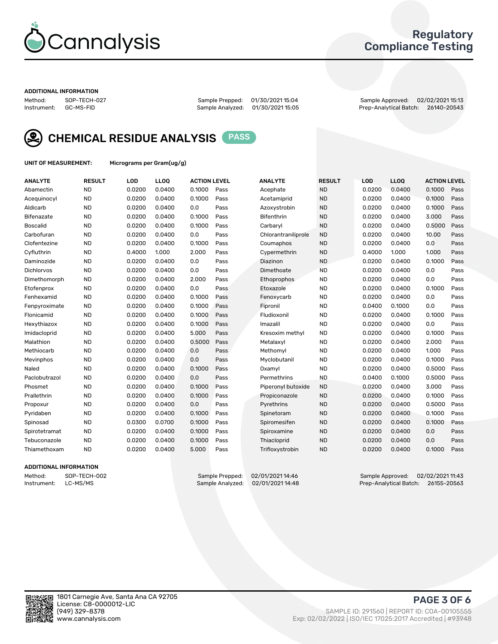

### Regulatory Compliance Testing

#### ADDITIONAL INFORMATION

Method: SOP-TECH-027 Sample Prepped: 01/30/2021 15:04 Sample Approved: 02/02/2021 15:13 Prep-Analytical Batch: 26140-20543



CHEMICAL RESIDUE ANALYSIS PASS

UNIT OF MEASUREMENT: Micrograms per Gram(ug/g)

| <b>ANALYTE</b>    | <b>RESULT</b> | LOD    | LLOQ   | <b>ACTION LEVEL</b> |      | <b>ANALYTE</b>      | <b>RESULT</b> | LOD    | <b>LLOQ</b> | <b>ACTION LEVEL</b> |      |
|-------------------|---------------|--------|--------|---------------------|------|---------------------|---------------|--------|-------------|---------------------|------|
| Abamectin         | <b>ND</b>     | 0.0200 | 0.0400 | 0.1000              | Pass | Acephate            | <b>ND</b>     | 0.0200 | 0.0400      | 0.1000              | Pass |
| Acequinocyl       | <b>ND</b>     | 0.0200 | 0.0400 | 0.1000              | Pass | Acetamiprid         | <b>ND</b>     | 0.0200 | 0.0400      | 0.1000              | Pass |
| Aldicarb          | <b>ND</b>     | 0.0200 | 0.0400 | 0.0                 | Pass | Azoxystrobin        | <b>ND</b>     | 0.0200 | 0.0400      | 0.1000              | Pass |
| Bifenazate        | <b>ND</b>     | 0.0200 | 0.0400 | 0.1000              | Pass | Bifenthrin          | <b>ND</b>     | 0.0200 | 0.0400      | 3.000               | Pass |
| <b>Boscalid</b>   | <b>ND</b>     | 0.0200 | 0.0400 | 0.1000              | Pass | Carbaryl            | <b>ND</b>     | 0.0200 | 0.0400      | 0.5000              | Pass |
| Carbofuran        | <b>ND</b>     | 0.0200 | 0.0400 | 0.0                 | Pass | Chlorantraniliprole | <b>ND</b>     | 0.0200 | 0.0400      | 10.00               | Pass |
| Clofentezine      | <b>ND</b>     | 0.0200 | 0.0400 | 0.1000              | Pass | Coumaphos           | <b>ND</b>     | 0.0200 | 0.0400      | 0.0                 | Pass |
| Cyfluthrin        | <b>ND</b>     | 0.4000 | 1.000  | 2.000               | Pass | Cypermethrin        | <b>ND</b>     | 0.4000 | 1.000       | 1.000               | Pass |
| Daminozide        | <b>ND</b>     | 0.0200 | 0.0400 | 0.0                 | Pass | Diazinon            | <b>ND</b>     | 0.0200 | 0.0400      | 0.1000              | Pass |
| <b>Dichlorvos</b> | <b>ND</b>     | 0.0200 | 0.0400 | 0.0                 | Pass | Dimethoate          | <b>ND</b>     | 0.0200 | 0.0400      | 0.0                 | Pass |
| Dimethomorph      | <b>ND</b>     | 0.0200 | 0.0400 | 2.000               | Pass | Ethoprophos         | <b>ND</b>     | 0.0200 | 0.0400      | 0.0                 | Pass |
| Etofenprox        | <b>ND</b>     | 0.0200 | 0.0400 | 0.0                 | Pass | Etoxazole           | <b>ND</b>     | 0.0200 | 0.0400      | 0.1000              | Pass |
| Fenhexamid        | <b>ND</b>     | 0.0200 | 0.0400 | 0.1000              | Pass | Fenoxycarb          | <b>ND</b>     | 0.0200 | 0.0400      | 0.0                 | Pass |
| Fenpyroximate     | <b>ND</b>     | 0.0200 | 0.0400 | 0.1000              | Pass | Fipronil            | <b>ND</b>     | 0.0400 | 0.1000      | 0.0                 | Pass |
| Flonicamid        | <b>ND</b>     | 0.0200 | 0.0400 | 0.1000              | Pass | Fludioxonil         | <b>ND</b>     | 0.0200 | 0.0400      | 0.1000              | Pass |
| Hexythiazox       | <b>ND</b>     | 0.0200 | 0.0400 | 0.1000              | Pass | Imazalil            | <b>ND</b>     | 0.0200 | 0.0400      | 0.0                 | Pass |
| Imidacloprid      | <b>ND</b>     | 0.0200 | 0.0400 | 5.000               | Pass | Kresoxim methyl     | <b>ND</b>     | 0.0200 | 0.0400      | 0.1000              | Pass |
| Malathion         | <b>ND</b>     | 0.0200 | 0.0400 | 0.5000              | Pass | Metalaxyl           | <b>ND</b>     | 0.0200 | 0.0400      | 2.000               | Pass |
| Methiocarb        | <b>ND</b>     | 0.0200 | 0.0400 | 0.0                 | Pass | Methomyl            | <b>ND</b>     | 0.0200 | 0.0400      | 1.000               | Pass |
| Mevinphos         | <b>ND</b>     | 0.0200 | 0.0400 | 0.0                 | Pass | Myclobutanil        | <b>ND</b>     | 0.0200 | 0.0400      | 0.1000              | Pass |
| Naled             | <b>ND</b>     | 0.0200 | 0.0400 | 0.1000              | Pass | Oxamyl              | <b>ND</b>     | 0.0200 | 0.0400      | 0.5000              | Pass |
| Paclobutrazol     | <b>ND</b>     | 0.0200 | 0.0400 | 0.0                 | Pass | Permethrins         | <b>ND</b>     | 0.0400 | 0.1000      | 0.5000              | Pass |
| Phosmet           | <b>ND</b>     | 0.0200 | 0.0400 | 0.1000              | Pass | Piperonyl butoxide  | <b>ND</b>     | 0.0200 | 0.0400      | 3.000               | Pass |
| Prallethrin       | <b>ND</b>     | 0.0200 | 0.0400 | 0.1000              | Pass | Propiconazole       | <b>ND</b>     | 0.0200 | 0.0400      | 0.1000              | Pass |
| Propoxur          | <b>ND</b>     | 0.0200 | 0.0400 | 0.0                 | Pass | Pyrethrins          | <b>ND</b>     | 0.0200 | 0.0400      | 0.5000              | Pass |
| Pyridaben         | <b>ND</b>     | 0.0200 | 0.0400 | 0.1000              | Pass | Spinetoram          | <b>ND</b>     | 0.0200 | 0.0400      | 0.1000              | Pass |
| Spinosad          | <b>ND</b>     | 0.0300 | 0.0700 | 0.1000              | Pass | Spiromesifen        | <b>ND</b>     | 0.0200 | 0.0400      | 0.1000              | Pass |
| Spirotetramat     | <b>ND</b>     | 0.0200 | 0.0400 | 0.1000              | Pass | Spiroxamine         | <b>ND</b>     | 0.0200 | 0.0400      | 0.0                 | Pass |
| Tebuconazole      | <b>ND</b>     | 0.0200 | 0.0400 | 0.1000              | Pass | Thiacloprid         | <b>ND</b>     | 0.0200 | 0.0400      | 0.0                 | Pass |
| Thiamethoxam      | <b>ND</b>     | 0.0200 | 0.0400 | 5.000               | Pass | Trifloxystrobin     | <b>ND</b>     | 0.0200 | 0.0400      | 0.1000              | Pass |
|                   |               |        |        |                     |      |                     |               |        |             |                     |      |

### ADDITIONAL INFORMATION

Method: SOP-TECH-002 Sample Prepped: 02/01/202114:46 Sample Approved: 02/02/2021 11:43<br>Instrument: LC-MS/MS Sample Analyzed: 02/01/2021 14:48 Prep-Analytical Batch: 26155-20563 Prep-Analytical Batch: 26155-20563

PAGE 3 OF 6

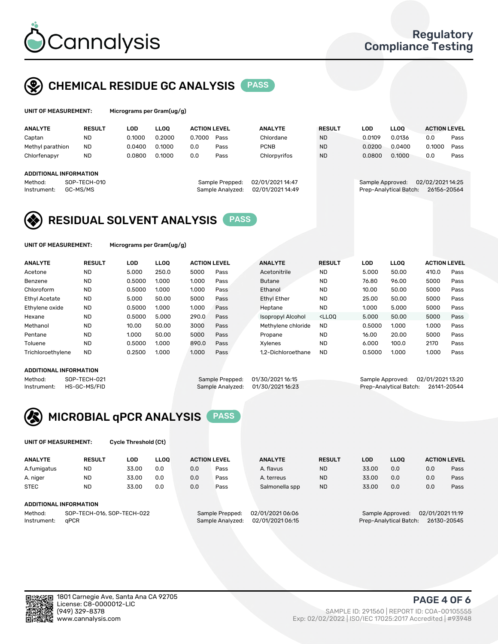

### CHEMICAL RESIDUE GC ANALYSIS PASS

| UNIT OF MEASUREMENT: | м |
|----------------------|---|
|                      |   |

icrograms per Gram(ug/g)

| <b>ANALYTE</b>                | <b>RESULT</b>                | LOD    | <b>LLOO</b> | <b>ACTION LEVEL</b>                        |                 | <b>ANALYTE</b>   | <b>RESULT</b>                        | LOD    | <b>LLOO</b> | <b>ACTION LEVEL</b> |      |
|-------------------------------|------------------------------|--------|-------------|--------------------------------------------|-----------------|------------------|--------------------------------------|--------|-------------|---------------------|------|
| Captan                        | <b>ND</b>                    | 0.1000 | 0.2000      | 0.7000                                     | Pass            | Chlordane        | <b>ND</b>                            | 0.0109 | 0.0136      | 0.0                 | Pass |
| Methyl parathion              | <b>ND</b>                    | 0.0400 | 0.1000      | 0.0                                        | Pass            | <b>PCNB</b>      | <b>ND</b>                            | 0.0200 | 0.0400      | 0.1000              | Pass |
| Chlorfenapyr                  | <b>ND</b>                    | 0.0800 | 0.1000      | 0.0                                        | Pass            | Chlorpyrifos     | <b>ND</b>                            | 0.0800 | 0.1000      | 0.0                 | Pass |
|                               |                              |        |             |                                            |                 |                  |                                      |        |             |                     |      |
| <b>ADDITIONAL INFORMATION</b> |                              |        |             |                                            |                 |                  |                                      |        |             |                     |      |
| Method:                       | SOP-TECH-010                 |        |             |                                            | Sample Prepped: | 02/01/2021 14:47 | 02/02/2021 14:25<br>Sample Approved: |        |             |                     |      |
| Instrument:                   | GC-MS/MS<br>Sample Analyzed: |        |             | 02/01/2021 14:49<br>Prep-Analytical Batch: |                 |                  | 26156-20564                          |        |             |                     |      |
|                               |                              |        |             |                                            |                 |                  |                                      |        |             |                     |      |

### RESIDUAL SOLVENT ANALYSIS PASS

UNIT OF MEASUREMENT: Micrograms per Gram(ug/g)

| <b>ANALYTE</b>       | <b>RESULT</b> | LOD    | <b>LLOO</b> | <b>ACTION LEVEL</b> |      | <b>ANALYTE</b>     | <b>RESULT</b>                                                               | <b>LOD</b> | <b>LLOO</b> | <b>ACTION LEVEL</b> |      |
|----------------------|---------------|--------|-------------|---------------------|------|--------------------|-----------------------------------------------------------------------------|------------|-------------|---------------------|------|
| Acetone              | <b>ND</b>     | 5.000  | 250.0       | 5000                | Pass | Acetonitrile       | <b>ND</b>                                                                   | 5.000      | 50.00       | 410.0               | Pass |
| Benzene              | <b>ND</b>     | 0.5000 | 1.000       | 1.000               | Pass | <b>Butane</b>      | <b>ND</b>                                                                   | 76.80      | 96.00       | 5000                | Pass |
| Chloroform           | <b>ND</b>     | 0.5000 | 1.000       | 1.000               | Pass | Ethanol            | <b>ND</b>                                                                   | 10.00      | 50.00       | 5000                | Pass |
| <b>Ethyl Acetate</b> | <b>ND</b>     | 5.000  | 50.00       | 5000                | Pass | <b>Ethyl Ether</b> | <b>ND</b>                                                                   | 25.00      | 50.00       | 5000                | Pass |
| Ethylene oxide       | <b>ND</b>     | 0.5000 | 1.000       | 1.000               | Pass | Heptane            | <b>ND</b>                                                                   | 1.000      | 5.000       | 5000                | Pass |
| Hexane               | <b>ND</b>     | 0.5000 | 5.000       | 290.0               | Pass | Isopropyl Alcohol  | <lloo< td=""><td>5.000</td><td>50.00</td><td>5000</td><td>Pass</td></lloo<> | 5.000      | 50.00       | 5000                | Pass |
| Methanol             | <b>ND</b>     | 10.00  | 50.00       | 3000                | Pass | Methylene chloride | <b>ND</b>                                                                   | 0.5000     | 1.000       | 1.000               | Pass |
| Pentane              | <b>ND</b>     | 1.000  | 50.00       | 5000                | Pass | Propane            | <b>ND</b>                                                                   | 16.00      | 20.00       | 5000                | Pass |
| Toluene              | <b>ND</b>     | 0.5000 | 1.000       | 890.0               | Pass | Xvlenes            | <b>ND</b>                                                                   | 6.000      | 100.0       | 2170                | Pass |
| Trichloroethylene    | <b>ND</b>     | 0.2500 | 1.000       | 1.000               | Pass | 1.2-Dichloroethane | <b>ND</b>                                                                   | 0.5000     | 1.000       | 1.000               | Pass |
|                      |               |        |             |                     |      |                    |                                                                             |            |             |                     |      |

### ADDITIONAL INFORMATION

Method: SOP-TECH-021 Sample Prepped: 01/30/2021 16:15 Sample Approved: 02/01/2021 13:20<br>Sample Analyzed: 01/30/2021 16:23 Prep-Analytical Batch: 26141-20544

Prep-Analytical Batch: 26141-20544



UNIT OF MEASUREMENT: Cycle Threshold (Ct)

| <b>ANALYTE</b>         | <b>RESULT</b>               | LOD   | <b>LLOO</b> | <b>ACTION LEVEL</b>                    |                 | <b>ANALYTE</b> | <b>RESULT</b> | <b>LOD</b> | <b>LLOO</b> |     | <b>ACTION LEVEL</b> |
|------------------------|-----------------------------|-------|-------------|----------------------------------------|-----------------|----------------|---------------|------------|-------------|-----|---------------------|
| A.fumigatus            | <b>ND</b>                   | 33.00 | 0.0         | 0.0                                    | Pass            | A. flavus      | <b>ND</b>     | 33.00      | 0.0         | 0.0 | Pass                |
| A. niger               | <b>ND</b>                   | 33.00 | 0.0         | 0.0                                    | Pass            | A. terreus     | <b>ND</b>     | 33.00      | 0.0         | 0.0 | Pass                |
| <b>STEC</b>            | <b>ND</b>                   | 33.00 | 0.0         | 0.0                                    | Pass            | Salmonella spp | <b>ND</b>     | 33.00      | 0.0         | 0.0 | Pass                |
| ADDITIONAL INFORMATION |                             |       |             |                                        |                 |                |               |            |             |     |                     |
| $1.4 - 1.1 - 1.1$      | COD TEQUI 044 COD TEQUI 000 |       |             | $O = 0.0000$ $\mu$ $\sim 0.0000$ $\mu$ | 00/010000000101 |                |               |            | 0.00044440  |     |                     |

Method: SOP-TECH-016, SOP-TECH-022 Sample Prepped: 02/01/2021 06:06 Sample Approved: 02/01/2021 11:19 Instrument: qPCR Sample Analyzed: 02/01/2021 06:15 Prep-Analytical Batch: 26130-20545

PAGE 4 OF 6

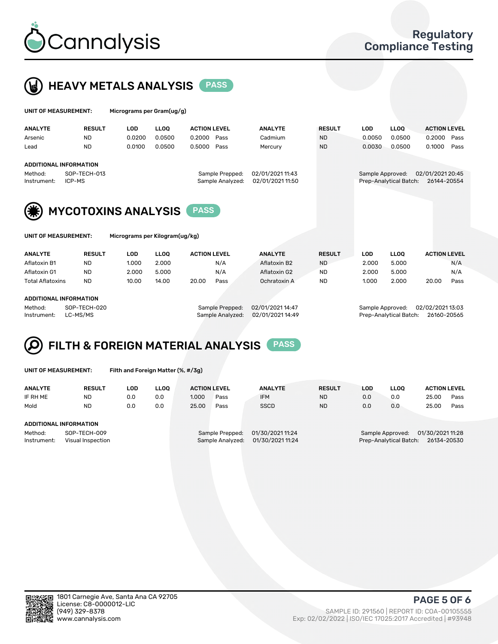



| UNIT OF MEASUREMENT:                                   |               | Micrograms per Gram(ug/g) |             |                     |                  |                  |               |                  |                        |                     |      |
|--------------------------------------------------------|---------------|---------------------------|-------------|---------------------|------------------|------------------|---------------|------------------|------------------------|---------------------|------|
| <b>ANALYTE</b>                                         | <b>RESULT</b> | <b>LOD</b>                | <b>LLOO</b> | <b>ACTION LEVEL</b> |                  | <b>ANALYTE</b>   | <b>RESULT</b> | <b>LOD</b>       | <b>LLOO</b>            | <b>ACTION LEVEL</b> |      |
| Arsenic                                                | <b>ND</b>     | 0.0200                    | 0.0500      | 0.2000              | Pass             | Cadmium          | <b>ND</b>     | 0.0050           | 0.0500                 | 0.2000              | Pass |
| Lead                                                   | <b>ND</b>     | 0.0100                    | 0.0500      | 0.5000              | Pass             | Mercury          | <b>ND</b>     | 0.0030           | 0.0500                 | 0.1000              | Pass |
| <b>ADDITIONAL INFORMATION</b>                          |               |                           |             |                     |                  |                  |               |                  |                        |                     |      |
| Method:                                                | SOP-TECH-013  |                           |             |                     | Sample Prepped:  | 02/01/2021 11:43 |               | Sample Approved: |                        | 02/01/2021 20:45    |      |
| Instrument:                                            | ICP-MS        |                           |             |                     | Sample Analyzed: | 02/01/2021 11:50 |               |                  | Prep-Analytical Batch: | 26144-20554         |      |
| (*)<br><b>MYCOTOXINS ANALYSIS</b>                      |               |                           |             |                     |                  |                  |               |                  |                        |                     |      |
| Micrograms per Kilogram(ug/kg)<br>UNIT OF MEASUREMENT: |               |                           |             |                     |                  |                  |               |                  |                        |                     |      |

| <b>ANALYTE</b>          | <b>RESULT</b> | LOD             | <b>LLOO</b>      | <b>ACTION LEVEL</b> | <b>ANALYTE</b>   | <b>RESULT</b> | LOD              | <b>LLOO</b> | <b>ACTION LEVEL</b> |      |
|-------------------------|---------------|-----------------|------------------|---------------------|------------------|---------------|------------------|-------------|---------------------|------|
| Aflatoxin B1            | ND            | 1.000           | 2.000            | N/A                 | Aflatoxin B2     | <b>ND</b>     | 2.000            | 5.000       |                     | N/A  |
| Aflatoxin G1            | <b>ND</b>     | 2.000           | 5.000            | N/A                 | Aflatoxin G2     | ND            | 2.000            | 5.000       |                     | N/A  |
| <b>Total Aflatoxins</b> | <b>ND</b>     | 10.00           | 14.00            | 20.00<br>Pass       | Ochratoxin A     | <b>ND</b>     | 1.000            | 2.000       | 20.00               | Pass |
| ADDITIONAL INFORMATION  |               |                 |                  |                     |                  |               |                  |             |                     |      |
| SOP-TECH-020<br>Method: |               | Sample Prepped: | 02/01/2021 14:47 |                     | Sample Approved: |               | 02/02/2021 13:03 |             |                     |      |

### Instrument: LC-MS/MS Sample Analyzed: 02/01/2021 14:49 Prep-Analytical Batch: 26160-20565

#### FILTH & FOREIGN MATERIAL ANALYSIS PASS Q

UNIT OF MEASUREMENT: Filth and Foreign Matter (%, #/3g)

| <b>ANALYTE</b>                                              | <b>RESULT</b> | LOD | <b>LLOO</b> | <b>ACTION LEVEL</b>                                                         |      | <b>ANALYTE</b> | <b>RESULT</b> | LOD                                                                           |     |       | <b>ACTION LEVEL</b> |  |
|-------------------------------------------------------------|---------------|-----|-------------|-----------------------------------------------------------------------------|------|----------------|---------------|-------------------------------------------------------------------------------|-----|-------|---------------------|--|
| IF RH ME                                                    | <b>ND</b>     | 0.0 | 0.0         | 1.000                                                                       | Pass | <b>IFM</b>     | <b>ND</b>     | 0.0                                                                           | 0.0 | 25.00 | Pass                |  |
| Mold                                                        | <b>ND</b>     | 0.0 | 0.0         | 25.00                                                                       | Pass | <b>SSCD</b>    | <b>ND</b>     | 0.0                                                                           | 0.0 | 25.00 | Pass                |  |
| ADDITIONAL INFORMATION                                      |               |     |             |                                                                             |      |                |               |                                                                               |     |       |                     |  |
| Method:<br>SOP-TECH-009<br>Instrument:<br>Visual Inspection |               |     |             | 01/30/2021 11:24<br>Sample Prepped:<br>01/30/2021 11:24<br>Sample Analyzed: |      |                |               | 01/30/2021 11:28<br>Sample Approved:<br>Prep-Analytical Batch:<br>26134-20530 |     |       |                     |  |